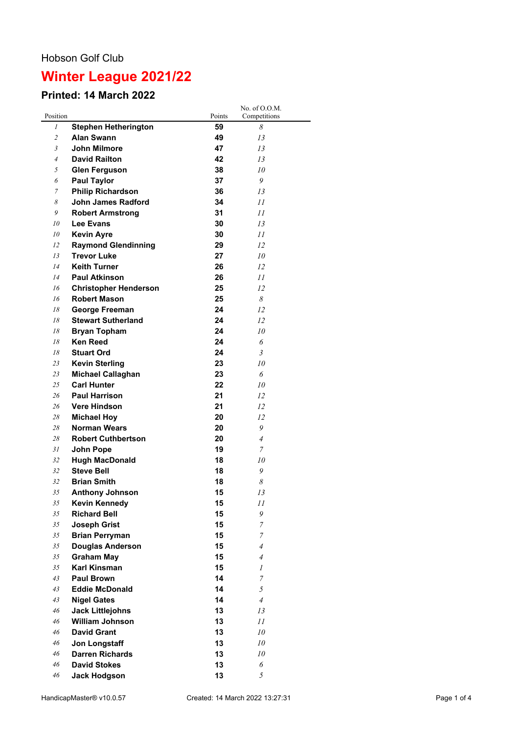## **Winter League 2021/22**

## **Printed: 14 March 2022**

|                |                              |        | No. of O.O.M.  |
|----------------|------------------------------|--------|----------------|
| Position       |                              | Points | Competitions   |
| 1              | <b>Stephen Hetherington</b>  | 59     | 8              |
| $\overline{2}$ | <b>Alan Swann</b>            | 49     | 13             |
| 3              | John Milmore                 | 47     | 13             |
| $\overline{4}$ | <b>David Railton</b>         | 42     | 13             |
| 5              | <b>Glen Ferguson</b>         | 38     | 10             |
| 6              | <b>Paul Taylor</b>           | 37     | 9              |
| 7              | <b>Philip Richardson</b>     | 36     | 13             |
| 8              | John James Radford           | 34     | 11             |
| 9              | <b>Robert Armstrong</b>      | 31     | 11             |
| 10             | <b>Lee Evans</b>             | 30     | 13             |
| 10             | <b>Kevin Ayre</b>            | 30     | 11             |
| 12             | <b>Raymond Glendinning</b>   | 29     | 12             |
| 13             | <b>Trevor Luke</b>           | 27     | 10             |
| 14             | <b>Keith Turner</b>          | 26     | 12             |
| l4             | <b>Paul Atkinson</b>         | 26     | 11             |
| 16             | <b>Christopher Henderson</b> | 25     | 12             |
| 16             | <b>Robert Mason</b>          | 25     | 8              |
| 18             | George Freeman               | 24     | 12             |
| 18             | <b>Stewart Sutherland</b>    | 24     | 12             |
| 18             | <b>Bryan Topham</b>          | 24     | 10             |
| 18             | <b>Ken Reed</b>              | 24     | 6              |
| 18             | <b>Stuart Ord</b>            | 24     | 3              |
| 23             | <b>Kevin Sterling</b>        | 23     | 10             |
| 23             | <b>Michael Callaghan</b>     | 23     | 6              |
| 25             | <b>Carl Hunter</b>           | 22     | 10             |
| 26             | <b>Paul Harrison</b>         | 21     | 12             |
| 26             | <b>Vere Hindson</b>          | 21     | 12             |
| 28             | <b>Michael Hoy</b>           | 20     | 12             |
| 28             | <b>Norman Wears</b>          | 20     | 9              |
| 28             | <b>Robert Cuthbertson</b>    | 20     | $\overline{4}$ |
| 31             | John Pope                    | 19     | 7              |
| 32             | <b>Hugh MacDonald</b>        | 18     | 10             |
| 32             | <b>Steve Bell</b>            | 18     | 9              |
| 32             | <b>Brian Smith</b>           | 18     | 8              |
| 35             | <b>Anthony Johnson</b>       | 15     | 13             |
| 35             | <b>Kevin Kennedy</b>         | 15     | 11             |
| 35             | <b>Richard Bell</b>          | 15     | 9              |
| 35             | <b>Joseph Grist</b>          | 15     | 7              |
| 35             | <b>Brian Perryman</b>        | 15     | 7              |
| 35             | <b>Douglas Anderson</b>      | 15     | $\overline{4}$ |
| 35             | <b>Graham May</b>            | 15     | $\overline{A}$ |
| 35             | <b>Karl Kinsman</b>          | 15     | 1              |
| 43             | <b>Paul Brown</b>            | 14     | $\overline{7}$ |
| 43             | <b>Eddie McDonald</b>        | 14     | 5              |
| 43             | <b>Nigel Gates</b>           | 14     | $\overline{4}$ |
| 46             | <b>Jack Littlejohns</b>      | 13     | 13             |
| 46             | <b>William Johnson</b>       | 13     | 11             |
| 46             | <b>David Grant</b>           | 13     | 10             |
| 46             | Jon Longstaff                | 13     | 10             |
| 46             | <b>Darren Richards</b>       | 13     | 10             |
| 46             | <b>David Stokes</b>          | 13     | 6              |
| 46             | <b>Jack Hodgson</b>          | 13     | 5              |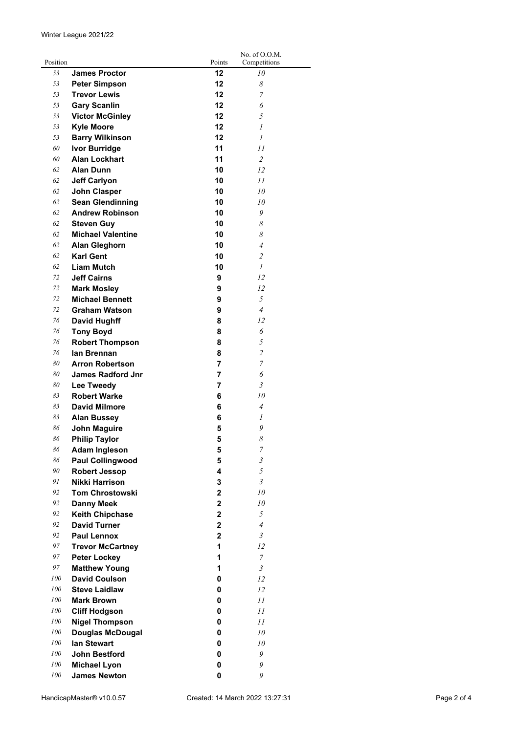| Position |                                              | Points         | No. of O.O.M.              |
|----------|----------------------------------------------|----------------|----------------------------|
| 53       | <b>James Proctor</b>                         | 12             | Competitions<br>10         |
| 53       |                                              | 12             | 8                          |
| 53       | <b>Peter Simpson</b><br><b>Trevor Lewis</b>  | 12             | 7                          |
| 53       |                                              | 12             |                            |
| 53       | <b>Gary Scanlin</b>                          | 12             | 6                          |
|          | <b>Victor McGinley</b>                       |                | 5                          |
| 53       | <b>Kyle Moore</b>                            | 12             | 1                          |
| 53       | <b>Barry Wilkinson</b>                       | 12<br>11       | 1                          |
| 60       | <b>Ivor Burridge</b><br><b>Alan Lockhart</b> | 11             | 11                         |
| 60<br>62 |                                              |                | $\overline{c}$             |
|          | <b>Alan Dunn</b>                             | 10             | 12                         |
| 62       | <b>Jeff Carlyon</b>                          | 10             | 11                         |
| 62       | John Clasper                                 | 10             | 10                         |
| 62       | <b>Sean Glendinning</b>                      | 10             | 10                         |
| 62       | <b>Andrew Robinson</b>                       | 10             | 9                          |
| 62       | <b>Steven Guy</b>                            | 10             | 8                          |
| 62       | <b>Michael Valentine</b>                     | 10             | 8                          |
| 62       | <b>Alan Gleghorn</b>                         | 10             | $\overline{4}$             |
| 62       | <b>Karl Gent</b>                             | 10             | $\overline{2}$             |
| 62       | <b>Liam Mutch</b>                            | 10             | $\mathcal{I}$              |
| 72       | <b>Jeff Cairns</b>                           | 9              | 12                         |
| 72       | <b>Mark Mosley</b>                           | 9              | 12                         |
| 72       | <b>Michael Bennett</b>                       | 9              | 5                          |
| 72       | <b>Graham Watson</b>                         | 9              | $\overline{4}$             |
| 76       | <b>David Hughff</b>                          | 8              | 12                         |
| 76       | <b>Tony Boyd</b>                             | 8              | 6                          |
| 76       | <b>Robert Thompson</b>                       | 8              | 5                          |
| 76       | lan Brennan                                  | 8              | $\overline{c}$             |
| 80       | <b>Arron Robertson</b>                       | 7              | 7                          |
| 80       | <b>James Radford Jnr</b>                     | 7              | 6                          |
| 80       | Lee Tweedy                                   | 7              | 3                          |
| 83       | <b>Robert Warke</b>                          | 6              | 10                         |
| 83       | <b>David Milmore</b>                         | 6              | $\overline{4}$             |
| 83       | <b>Alan Bussey</b>                           | 6              | 1                          |
| 86       | <b>John Maguire</b>                          | 5              | 9                          |
| 86       | <b>Philip Taylor</b>                         | 5              | $\boldsymbol{\mathcal{S}}$ |
| 86       | <b>Adam Ingleson</b>                         | 5              | $\overline{\mathcal{I}}$   |
| 86       | <b>Paul Collingwood</b>                      | 5              | $\mathfrak{z}$             |
| 90       | <b>Robert Jessop</b>                         | 4              | 5                          |
| 91       | Nikki Harrison                               | 3              | $\mathfrak{Z}$             |
| 92       | <b>Tom Chrostowski</b>                       | $\overline{2}$ | 10                         |
| 92       | <b>Danny Meek</b>                            | $\mathbf 2$    | 10                         |
| 92       | <b>Keith Chipchase</b>                       | $\mathbf 2$    | 5                          |
| 92       | <b>David Turner</b>                          | $\mathbf 2$    | $\overline{4}$             |
| 92       | <b>Paul Lennox</b>                           | $\overline{2}$ | $\mathfrak{Z}$             |
| 97       | <b>Trevor McCartney</b>                      | 1              | 12                         |
| 97       | <b>Peter Lockey</b>                          | 1              | $\overline{7}$             |
| 97       | <b>Matthew Young</b>                         | 1              | $\mathfrak{Z}$             |
| 100      | <b>David Coulson</b>                         | 0              | 12                         |
| 100      | <b>Steve Laidlaw</b>                         | 0              | 12                         |
| 100      | <b>Mark Brown</b>                            | 0              | 11                         |
| 100      | <b>Cliff Hodgson</b>                         | 0              | 11                         |
| 100      | <b>Nigel Thompson</b>                        | 0              | 11                         |
| 100      | <b>Douglas McDougal</b>                      | 0              | 10                         |
| 100      | lan Stewart                                  | 0              | 10                         |
| 100      | <b>John Bestford</b>                         | 0              | 9                          |
| 100      | <b>Michael Lyon</b>                          | 0              | 9                          |
| 100      | <b>James Newton</b>                          | 0              | 9                          |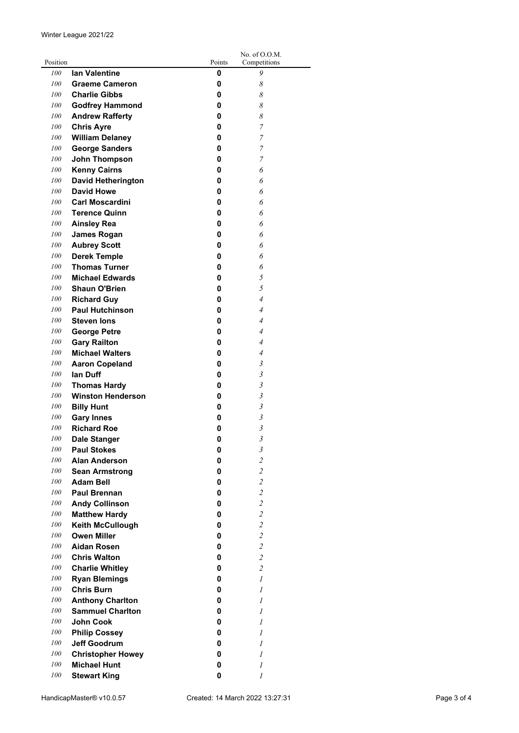|          |                           |          | No. of O.O.M.           |
|----------|---------------------------|----------|-------------------------|
| Position |                           | Points   | Competitions            |
| 100      | <b>lan Valentine</b>      | 0        | 9                       |
| 100      | <b>Graeme Cameron</b>     | 0        | 8                       |
| 100      | <b>Charlie Gibbs</b>      | 0        | 8                       |
| 100      | <b>Godfrey Hammond</b>    | 0        | 8                       |
| 100      | <b>Andrew Rafferty</b>    | 0        | 8                       |
| 100      | <b>Chris Ayre</b>         | 0        | 7                       |
| 100      | <b>William Delaney</b>    | 0        | 7                       |
| 100      | <b>George Sanders</b>     | 0        | 7                       |
| 100      | John Thompson             | 0        | 7                       |
| 100      | <b>Kenny Cairns</b>       | 0        | 6                       |
| 100      | <b>David Hetherington</b> | 0        | 6                       |
| 100      | <b>David Howe</b>         | 0        | 6                       |
| 100      | <b>Carl Moscardini</b>    | 0        | 6                       |
| 100      | <b>Terence Quinn</b>      | 0        | 6                       |
| 100      |                           |          |                         |
|          | <b>Ainsley Rea</b>        | 0        | 6                       |
| 100      | <b>James Rogan</b>        | 0        | 6                       |
| 100      | <b>Aubrey Scott</b>       | 0        | 6                       |
| 100      | <b>Derek Temple</b>       | 0        | 6                       |
| 100      | <b>Thomas Turner</b>      | 0        | 6                       |
| 100      | <b>Michael Edwards</b>    | 0        | 5                       |
| 100      | <b>Shaun O'Brien</b>      | 0        | 5                       |
| 100      | <b>Richard Guy</b>        | 0        | $\overline{4}$          |
| 100      | <b>Paul Hutchinson</b>    | 0        | $\overline{4}$          |
| 100      | <b>Steven lons</b>        | 0        | $\overline{4}$          |
| 100      | <b>George Petre</b>       | 0        | $\overline{4}$          |
| 100      | <b>Gary Railton</b>       | 0        | $\overline{4}$          |
| 100      | <b>Michael Walters</b>    | 0        | $\overline{4}$          |
| 100      | <b>Aaron Copeland</b>     | 0        | 3                       |
| 100      | lan Duff                  | 0        | 3                       |
| 100      | <b>Thomas Hardy</b>       | 0        | 3                       |
| 100      | <b>Winston Henderson</b>  | 0        | 3                       |
| 100      | <b>Billy Hunt</b>         | 0        | $\mathfrak{Z}$          |
| 100      | <b>Gary Innes</b>         | 0        | $\mathfrak{Z}$          |
| 100      | <b>Richard Roe</b>        | 0        | $\mathfrak{Z}$          |
| 100      | <b>Dale Stanger</b>       | $\bf{0}$ | $\mathfrak{z}$          |
| 100      | <b>Paul Stokes</b>        | 0        | $\mathfrak z$           |
| 100      | <b>Alan Anderson</b>      | 0        | $\overline{\mathbf{c}}$ |
| 100      |                           | 0        | $\overline{\mathbf{c}}$ |
|          | <b>Sean Armstrong</b>     |          |                         |
| 100      | <b>Adam Bell</b>          | 0        | $\overline{\mathbf{c}}$ |
| 100      | <b>Paul Brennan</b>       | 0        | $\overline{2}$          |
| 100      | <b>Andy Collinson</b>     | 0        | $\overline{\mathbf{c}}$ |
| 100      | <b>Matthew Hardy</b>      | 0        | $\overline{2}$          |
| 100      | Keith McCullough          | 0        | $\overline{\mathbf{c}}$ |
| 100      | <b>Owen Miller</b>        | 0        | $\overline{\mathbf{c}}$ |
| 100      | <b>Aidan Rosen</b>        | 0        | $\overline{\mathbf{c}}$ |
| 100      | <b>Chris Walton</b>       | 0        | $\overline{\mathbf{c}}$ |
| 100      | <b>Charlie Whitley</b>    | 0        | $\overline{c}$          |
| 100      | <b>Ryan Blemings</b>      | 0        | $\mathcal{I}$           |
| 100      | <b>Chris Burn</b>         | 0        | 1                       |
| 100      | <b>Anthony Charlton</b>   | 0        | $\mathfrak{1}$          |
| 100      | <b>Sammuel Charlton</b>   | 0        | $\mathfrak{1}$          |
| 100      | <b>John Cook</b>          | 0        | $\mathcal I$            |
| 100      | <b>Philip Cossey</b>      | 0        | 1                       |
| 100      | <b>Jeff Goodrum</b>       | 0        | $\mathcal{I}$           |
| 100      | <b>Christopher Howey</b>  | 0        | $\mathcal{I}$           |
| 100      | <b>Michael Hunt</b>       | 0        | $\mathfrak{1}$          |
| 100      | <b>Stewart King</b>       | 0        | 1                       |
|          |                           |          |                         |